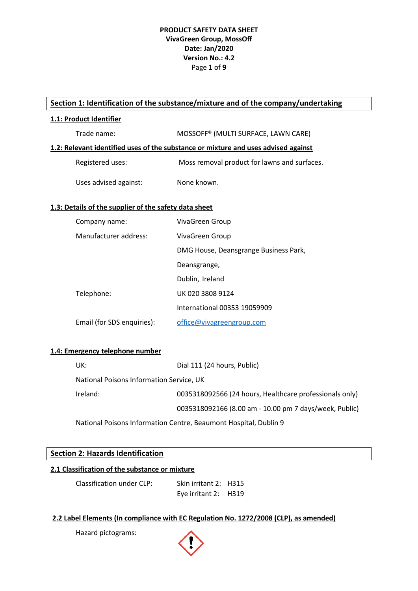# **PRODUCT SAFETY DATA SHEET VivaGreen Group, MossOff Date: Jan/2020 Version No.: 4.2** Page **1** of **9**

# **Section 1: Identification of the substance/mixture and of the company/undertaking**

## **1.1: Product Identifier**

| Trade name:      | MOSSOFF <sup>®</sup> (MULTI SURFACE, LAWN CARE)                                    |
|------------------|------------------------------------------------------------------------------------|
|                  | 1.2: Relevant identified uses of the substance or mixture and uses advised against |
| Registered uses: | Moss removal product for lawns and surfaces.                                       |

# Uses advised against: None known.

## **1.3: Details of the supplier of the safety data sheet**

| Company name:              | VivaGreen Group                       |
|----------------------------|---------------------------------------|
| Manufacturer address:      | VivaGreen Group                       |
|                            | DMG House, Deansgrange Business Park, |
|                            | Deansgrange,                          |
|                            | Dublin, Ireland                       |
| Telephone:                 | UK 020 3808 9124                      |
|                            | International 00353 19059909          |
| Email (for SDS enquiries): | office@vivagreengroup.com             |

# **1.4: Emergency telephone number**

| UK:                                      | Dial 111 (24 hours, Public)                             |
|------------------------------------------|---------------------------------------------------------|
| National Poisons Information Service, UK |                                                         |
| Ireland:                                 | 0035318092566 (24 hours, Healthcare professionals only) |
|                                          | 0035318092166 (8.00 am - 10.00 pm 7 days/week, Public)  |
|                                          |                                                         |

National Poisons Information Centre, Beaumont Hospital, Dublin 9

# **Section 2: Hazards Identification**

# **2.1 Classification of the substance or mixture**

Classification under CLP: Skin irritant 2: H315 Eye irritant 2: H319

#### **2.2 Label Elements (In compliance with EC Regulation No. 1272/2008 (CLP), as amended)**

Hazard pictograms:

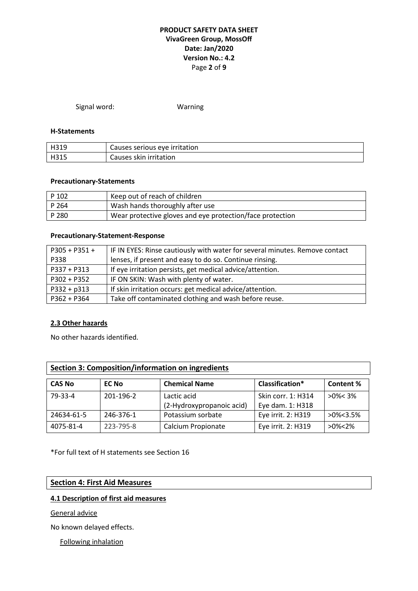# **PRODUCT SAFETY DATA SHEET VivaGreen Group, MossOff Date: Jan/2020 Version No.: 4.2** Page **2** of **9**

Signal word: Warning

## **H-Statements**

| H319 | Causes serious eye irritation |
|------|-------------------------------|
| H315 | Causes skin irritation        |

## **Precautionary-Statements**

| P 102   | Keep out of reach of children                             |
|---------|-----------------------------------------------------------|
| l P 264 | Wash hands thoroughly after use                           |
| l P 280 | Wear protective gloves and eye protection/face protection |

#### **Precautionary-Statement-Response**

| $P305 + P351 +$ | IF IN EYES: Rinse cautiously with water for several minutes. Remove contact |
|-----------------|-----------------------------------------------------------------------------|
| P338            | lenses, if present and easy to do so. Continue rinsing.                     |
| $P337 + P313$   | If eye irritation persists, get medical advice/attention.                   |
| $P302 + P352$   | IF ON SKIN: Wash with plenty of water.                                      |
| $P332 + p313$   | If skin irritation occurs: get medical advice/attention.                    |
| $P362 + P364$   | Take off contaminated clothing and wash before reuse.                       |

#### **2.3 Other hazards**

No other hazards identified.

| Section 3: Composition/information on ingredients |              |                                          |                                        |                |
|---------------------------------------------------|--------------|------------------------------------------|----------------------------------------|----------------|
| <b>CAS No</b>                                     | <b>EC No</b> | <b>Chemical Name</b>                     | Classification*                        | Content%       |
| 79-33-4                                           | 201-196-2    | Lactic acid<br>(2-Hydroxypropanoic acid) | Skin corr. 1: H314<br>Eye dam. 1: H318 | $>0\% < 3\%$   |
| 24634-61-5                                        | 246-376-1    | Potassium sorbate                        | Eye irrit. 2: H319                     | $>0\% < 3.5\%$ |
| 4075-81-4                                         | 223-795-8    | Calcium Propionate                       | Eye irrit. 2: H319                     | $>0\%$ < 2%    |

\*For full text of H statements see Section 16

## **Section 4: First Aid Measures**

# **4.1 Description of first aid measures**

General advice

No known delayed effects.

Following inhalation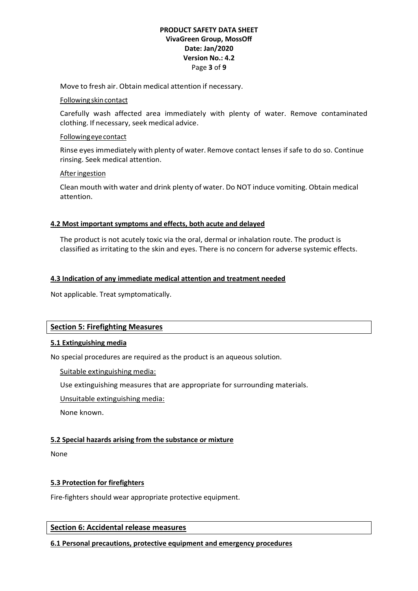## **PRODUCT SAFETY DATA SHEET VivaGreen Group, MossOff Date: Jan/2020 Version No.: 4.2** Page **3** of **9**

Move to fresh air. Obtain medical attention if necessary.

#### Followingskincontact

Carefully wash affected area immediately with plenty of water. Remove contaminated clothing. If necessary, seek medical advice.

## Followingeyecontact

Rinse eyes immediately with plenty of water. Remove contact lenses if safe to do so. Continue rinsing. Seek medical attention.

## Afteringestion

Clean mouth with water and drink plenty of water. Do NOT induce vomiting. Obtain medical attention.

# **4.2 Most important symptoms and effects, both acute and delayed**

The product is not acutely toxic via the oral, dermal or inhalation route. The product is classified as irritating to the skin and eyes. There is no concern for adverse systemic effects.

# **4.3 Indication of any immediate medical attention and treatment needed**

Not applicable. Treat symptomatically.

# **Section 5: Firefighting Measures**

# **5.1 Extinguishing media**

No special procedures are required as the product is an aqueous solution.

Suitable extinguishing media:

Use extinguishing measures that are appropriate for surrounding materials.

Unsuitable extinguishing media:

None known.

# **5.2 Special hazards arising from the substance or mixture**

None

# **5.3 Protection for firefighters**

Fire-fighters should wear appropriate protective equipment.

**Section 6: Accidental release measures**

#### **6.1 Personal precautions, protective equipment and emergency procedures**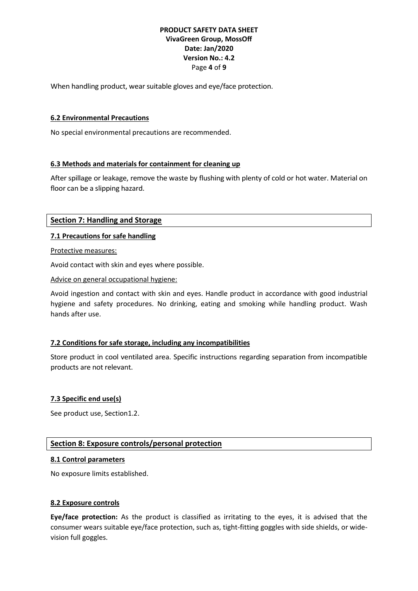# **PRODUCT SAFETY DATA SHEET VivaGreen Group, MossOff Date: Jan/2020 Version No.: 4.2** Page **4** of **9**

When handling product, wear suitable gloves and eye/face protection.

## **6.2 Environmental Precautions**

No special environmental precautions are recommended.

# **6.3 Methods and materials for containment for cleaning up**

After spillage or leakage, remove the waste by flushing with plenty of cold or hot water. Material on floor can be a slipping hazard.

## **Section 7: Handling and Storage**

# **7.1 Precautions for safe handling**

Protective measures:

Avoid contact with skin and eyes where possible.

Advice on general occupational hygiene:

Avoid ingestion and contact with skin and eyes. Handle product in accordance with good industrial hygiene and safety procedures. No drinking, eating and smoking while handling product. Wash hands after use.

# **7.2 Conditions for safe storage, including any incompatibilities**

Store product in cool ventilated area. Specific instructions regarding separation from incompatible products are not relevant.

#### **7.3 Specific end use(s)**

See product use, Section1.2.

# **Section 8: Exposure controls/personal protection**

#### **8.1 Control parameters**

No exposure limits established.

#### **8.2 Exposure controls**

**Eye/face protection:** As the product is classified as irritating to the eyes, it is advised that the consumer wears suitable eye/face protection, such as, tight-fitting goggles with side shields, or widevision full goggles.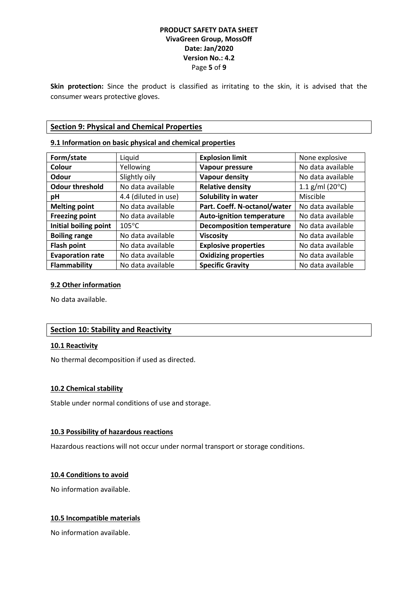## **PRODUCT SAFETY DATA SHEET VivaGreen Group, MossOff Date: Jan/2020 Version No.: 4.2** Page **5** of **9**

**Skin protection:** Since the product is classified as irritating to the skin, it is advised that the consumer wears protective gloves.

## **Section 9: Physical and Chemical Properties**

## **9.1 Information on basic physical and chemical properties**

| Form/state              | Liquid               | <b>Explosion limit</b>           | None explosive             |
|-------------------------|----------------------|----------------------------------|----------------------------|
| Colour                  | Yellowing            | Vapour pressure                  | No data available          |
| Odour                   | Slightly oily        | <b>Vapour density</b>            | No data available          |
| <b>Odour threshold</b>  | No data available    | <b>Relative density</b>          | 1.1 g/ml (20 $^{\circ}$ C) |
| рH                      | 4.4 (diluted in use) | Solubility in water              | Miscible                   |
| <b>Melting point</b>    | No data available    | Part. Coeff. N-octanol/water     | No data available          |
| <b>Freezing point</b>   | No data available    | <b>Auto-ignition temperature</b> | No data available          |
| Initial boiling point   | $105^{\circ}$ C      | <b>Decomposition temperature</b> | No data available          |
| <b>Boiling range</b>    | No data available    | <b>Viscosity</b>                 | No data available          |
| <b>Flash point</b>      | No data available    | <b>Explosive properties</b>      | No data available          |
| <b>Evaporation rate</b> | No data available    | <b>Oxidizing properties</b>      | No data available          |
| Flammability            | No data available    | <b>Specific Gravity</b>          | No data available          |

#### **9.2 Other information**

No data available.

# **Section 10: Stability and Reactivity**

#### **10.1 Reactivity**

No thermal decomposition if used as directed.

#### **10.2 Chemical stability**

Stable under normal conditions of use and storage.

#### **10.3 Possibility of hazardous reactions**

Hazardous reactions will not occur under normal transport or storage conditions.

#### **10.4 Conditions to avoid**

No information available.

## **10.5 Incompatible materials**

No information available.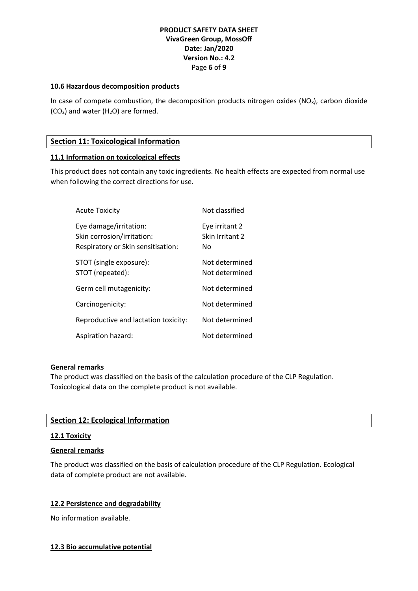## **PRODUCT SAFETY DATA SHEET VivaGreen Group, MossOff Date: Jan/2020 Version No.: 4.2** Page **6** of **9**

## **10.6 Hazardous decomposition products**

In case of compete combustion, the decomposition products nitrogen oxides  $(NO_x)$ , carbon dioxide  $(CO<sub>2</sub>)$  and water  $(H<sub>2</sub>O)$  are formed.

## **Section 11: Toxicological Information**

## **11.1 Information on toxicological effects**

This product does not contain any toxic ingredients. No health effects are expected from normal use when following the correct directions for use.

| <b>Acute Toxicity</b>                                                                      | Not classified                          |
|--------------------------------------------------------------------------------------------|-----------------------------------------|
| Eye damage/irritation:<br>Skin corrosion/irritation:<br>Respiratory or Skin sensitisation: | Eye irritant 2<br>Skin Irritant 2<br>No |
| STOT (single exposure):<br>STOT (repeated):                                                | Not determined<br>Not determined        |
| Germ cell mutagenicity:                                                                    | Not determined                          |
| Carcinogenicity:                                                                           | Not determined                          |
| Reproductive and lactation toxicity:                                                       | Not determined                          |
| Aspiration hazard:                                                                         | Not determined                          |

#### **General remarks**

The product was classified on the basis of the calculation procedure of the CLP Regulation. Toxicological data on the complete product is not available.

#### **Section 12: Ecological Information**

#### **12.1 Toxicity**

#### **General remarks**

The product was classified on the basis of calculation procedure of the CLP Regulation. Ecological data of complete product are not available.

#### **12.2 Persistence and degradability**

No information available.

#### **12.3 Bio accumulative potential**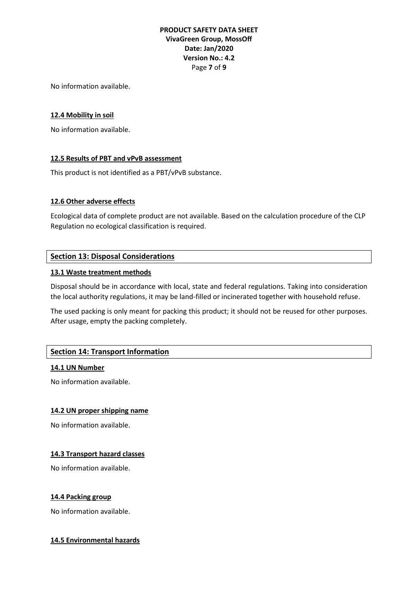# **PRODUCT SAFETY DATA SHEET VivaGreen Group, MossOff Date: Jan/2020 Version No.: 4.2** Page **7** of **9**

No information available.

## **12.4 Mobility in soil**

No information available.

## **12.5 Results of PBT and vPvB assessment**

This product is not identified as a PBT/vPvB substance.

## **12.6 Other adverse effects**

Ecological data of complete product are not available. Based on the calculation procedure of the CLP Regulation no ecological classification is required.

# **Section 13: Disposal Considerations**

#### **13.1 Waste treatment methods**

Disposal should be in accordance with local, state and federal regulations. Taking into consideration the local authority regulations, it may be land-filled or incinerated together with household refuse.

The used packing is only meant for packing this product; it should not be reused for other purposes. After usage, empty the packing completely.

# **Section 14: Transport Information**

#### **14.1 UN Number**

No information available.

#### **14.2 UN proper shipping name**

No information available.

#### **14.3 Transport hazard classes**

No information available.

#### **14.4 Packing group**

No information available.

#### **14.5 Environmental hazards**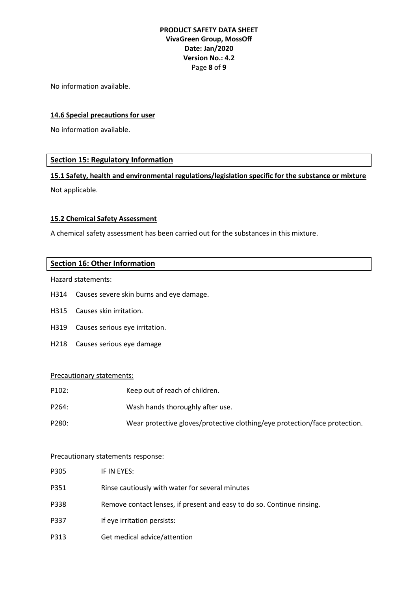# **PRODUCT SAFETY DATA SHEET VivaGreen Group, MossOff Date: Jan/2020 Version No.: 4.2** Page **8** of **9**

No information available.

## **14.6 Special precautions for user**

No information available.

## **Section 15: Regulatory Information**

**15.1 Safety, health and environmental regulations/legislation specific for the substance or mixture**

Not applicable.

#### **15.2 Chemical Safety Assessment**

A chemical safety assessment has been carried out for the substances in this mixture.

## **Section 16: Other Information**

Hazard statements:

- H314 Causes severe skin burns and eye damage.
- H315 Causes skin irritation.
- H319 Causes serious eye irritation.
- H218 Causes serious eye damage

#### Precautionary statements:

| P102: | Keep out of reach of children. |
|-------|--------------------------------|
|-------|--------------------------------|

- P264: Wash hands thoroughly after use.
- P280: Wear protective gloves/protective clothing/eye protection/face protection.

#### Precautionary statements response:

| P305 | IF IN EYES:                                                            |
|------|------------------------------------------------------------------------|
| P351 | Rinse cautiously with water for several minutes                        |
| P338 | Remove contact lenses, if present and easy to do so. Continue rinsing. |
| P337 | If eye irritation persists:                                            |
| P313 | Get medical advice/attention                                           |